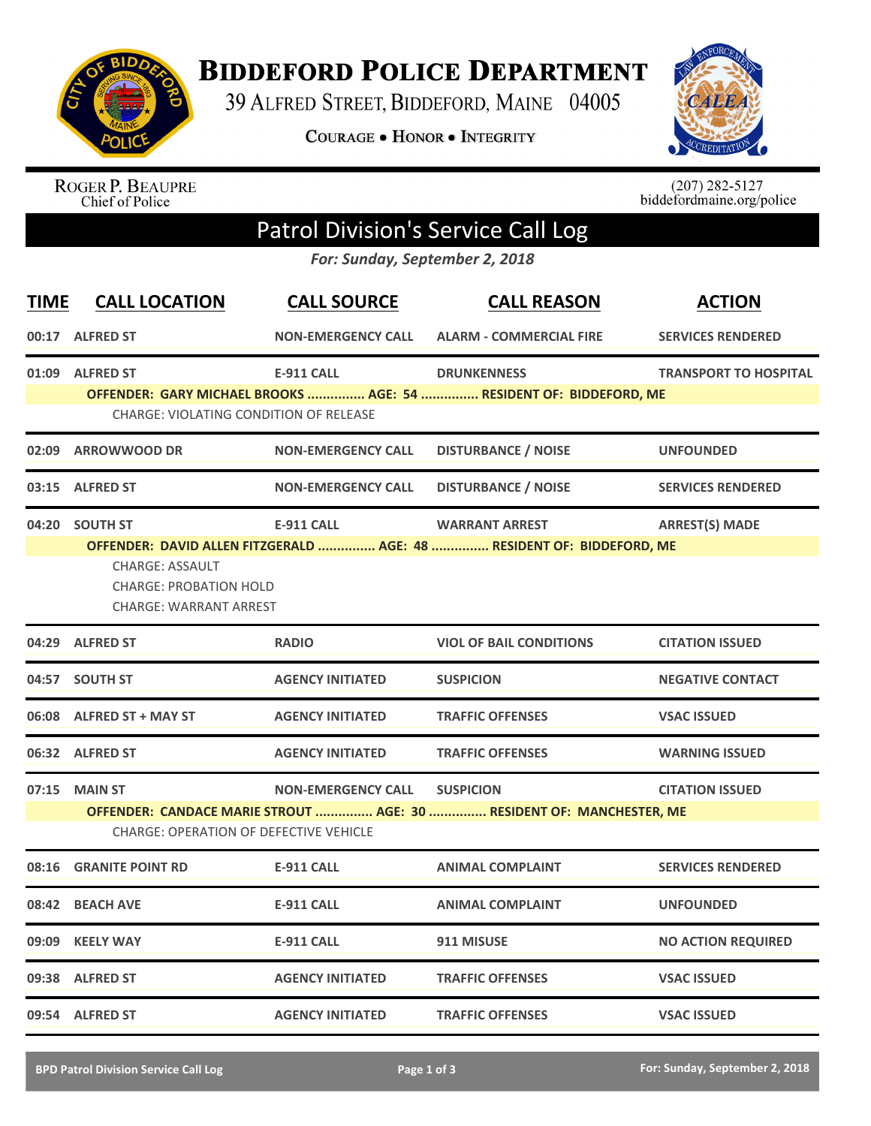

**BIDDEFORD POLICE DEPARTMENT** 

39 ALFRED STREET, BIDDEFORD, MAINE 04005

**COURAGE . HONOR . INTEGRITY** 



ROGER P. BEAUPRE<br>Chief of Police

 $(207)$  282-5127<br>biddefordmaine.org/police

## Patrol Division's Service Call Log

*For: Sunday, September 2, 2018*

| <b>TIME</b> | <b>CALL LOCATION</b>                                                                                                                                                                                              | <b>CALL SOURCE</b>        | <b>CALL REASON</b>                                                                             | <b>ACTION</b>                |  |
|-------------|-------------------------------------------------------------------------------------------------------------------------------------------------------------------------------------------------------------------|---------------------------|------------------------------------------------------------------------------------------------|------------------------------|--|
|             | 00:17 ALFRED ST                                                                                                                                                                                                   | <b>NON-EMERGENCY CALL</b> | <b>ALARM - COMMERCIAL FIRE</b>                                                                 | <b>SERVICES RENDERED</b>     |  |
|             | 01:09 ALFRED ST<br>CHARGE: VIOLATING CONDITION OF RELEASE                                                                                                                                                         | <b>E-911 CALL</b>         | <b>DRUNKENNESS</b><br>OFFENDER: GARY MICHAEL BROOKS  AGE: 54  RESIDENT OF: BIDDEFORD, ME       | <b>TRANSPORT TO HOSPITAL</b> |  |
| 02:09       | <b>ARROWWOOD DR</b>                                                                                                                                                                                               | <b>NON-EMERGENCY CALL</b> | <b>DISTURBANCE / NOISE</b>                                                                     | <b>UNFOUNDED</b>             |  |
|             | 03:15 ALFRED ST                                                                                                                                                                                                   | <b>NON-EMERGENCY CALL</b> | <b>DISTURBANCE / NOISE</b>                                                                     | <b>SERVICES RENDERED</b>     |  |
|             | 04:20 SOUTH ST<br><b>CHARGE: ASSAULT</b><br><b>CHARGE: PROBATION HOLD</b><br><b>CHARGE: WARRANT ARREST</b>                                                                                                        | <b>E-911 CALL</b>         | <b>WARRANT ARREST</b><br>OFFENDER: DAVID ALLEN FITZGERALD  AGE: 48  RESIDENT OF: BIDDEFORD, ME | <b>ARREST(S) MADE</b>        |  |
|             | 04:29 ALFRED ST                                                                                                                                                                                                   | <b>RADIO</b>              | <b>VIOL OF BAIL CONDITIONS</b>                                                                 | <b>CITATION ISSUED</b>       |  |
|             | 04:57 SOUTH ST                                                                                                                                                                                                    | <b>AGENCY INITIATED</b>   | <b>SUSPICION</b>                                                                               | <b>NEGATIVE CONTACT</b>      |  |
|             | 06:08 ALFRED ST + MAY ST                                                                                                                                                                                          | <b>AGENCY INITIATED</b>   | <b>TRAFFIC OFFENSES</b>                                                                        | <b>VSAC ISSUED</b>           |  |
|             | 06:32 ALFRED ST                                                                                                                                                                                                   | <b>AGENCY INITIATED</b>   | <b>TRAFFIC OFFENSES</b>                                                                        | <b>WARNING ISSUED</b>        |  |
|             | 07:15 MAIN ST<br><b>NON-EMERGENCY CALL</b><br><b>SUSPICION</b><br><b>CITATION ISSUED</b><br>OFFENDER: CANDACE MARIE STROUT  AGE: 30  RESIDENT OF: MANCHESTER, ME<br><b>CHARGE: OPERATION OF DEFECTIVE VEHICLE</b> |                           |                                                                                                |                              |  |
|             | 08:16 GRANITE POINT RD                                                                                                                                                                                            | <b>E-911 CALL</b>         | <b>ANIMAL COMPLAINT</b>                                                                        | <b>SERVICES RENDERED</b>     |  |
|             | 08:42 BEACH AVE                                                                                                                                                                                                   | <b>E-911 CALL</b>         | <b>ANIMAL COMPLAINT</b>                                                                        | <b>UNFOUNDED</b>             |  |
|             | 09:09 KEELY WAY                                                                                                                                                                                                   | <b>E-911 CALL</b>         | 911 MISUSE                                                                                     | <b>NO ACTION REQUIRED</b>    |  |
|             | 09:38 ALFRED ST                                                                                                                                                                                                   | <b>AGENCY INITIATED</b>   | <b>TRAFFIC OFFENSES</b>                                                                        | <b>VSAC ISSUED</b>           |  |
|             | 09:54 ALFRED ST                                                                                                                                                                                                   | <b>AGENCY INITIATED</b>   | <b>TRAFFIC OFFENSES</b>                                                                        | <b>VSAC ISSUED</b>           |  |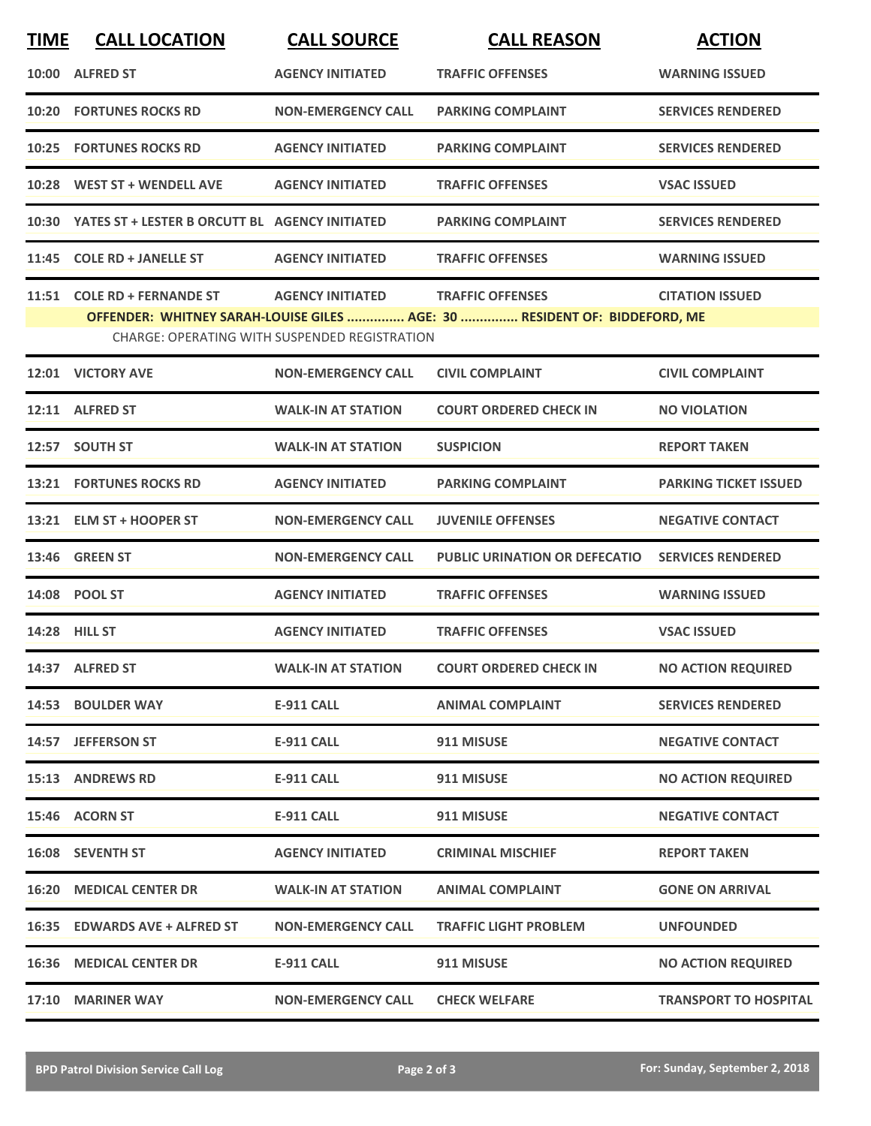| <b>TIME</b> | <b>CALL LOCATION</b>                                 | <b>CALL SOURCE</b>                                   | <b>CALL REASON</b>                                                        | <b>ACTION</b>                |
|-------------|------------------------------------------------------|------------------------------------------------------|---------------------------------------------------------------------------|------------------------------|
|             | 10:00 ALFRED ST                                      | <b>AGENCY INITIATED</b>                              | <b>TRAFFIC OFFENSES</b>                                                   | <b>WARNING ISSUED</b>        |
|             | <b>10:20 FORTUNES ROCKS RD</b>                       | <b>NON-EMERGENCY CALL</b>                            | <b>PARKING COMPLAINT</b>                                                  | <b>SERVICES RENDERED</b>     |
|             | <b>10:25 FORTUNES ROCKS RD</b>                       | <b>AGENCY INITIATED</b>                              | <b>PARKING COMPLAINT</b>                                                  | <b>SERVICES RENDERED</b>     |
|             | 10:28 WEST ST + WENDELL AVE                          | <b>AGENCY INITIATED</b>                              | <b>TRAFFIC OFFENSES</b>                                                   | <b>VSAC ISSUED</b>           |
|             | 10:30 YATES ST + LESTER B ORCUTT BL AGENCY INITIATED |                                                      | <b>PARKING COMPLAINT</b>                                                  | <b>SERVICES RENDERED</b>     |
|             | 11:45 COLE RD + JANELLE ST                           | <b>AGENCY INITIATED</b>                              | <b>TRAFFIC OFFENSES</b>                                                   | <b>WARNING ISSUED</b>        |
|             | 11:51 COLE RD + FERNANDE ST                          | <b>AGENCY INITIATED</b>                              | <b>TRAFFIC OFFENSES</b>                                                   | <b>CITATION ISSUED</b>       |
|             |                                                      |                                                      | OFFENDER: WHITNEY SARAH-LOUISE GILES  AGE: 30  RESIDENT OF: BIDDEFORD, ME |                              |
|             |                                                      | <b>CHARGE: OPERATING WITH SUSPENDED REGISTRATION</b> |                                                                           |                              |
|             | 12:01 VICTORY AVE                                    | <b>NON-EMERGENCY CALL</b>                            | <b>CIVIL COMPLAINT</b>                                                    | <b>CIVIL COMPLAINT</b>       |
|             | 12:11 ALFRED ST                                      | <b>WALK-IN AT STATION</b>                            | <b>COURT ORDERED CHECK IN</b>                                             | <b>NO VIOLATION</b>          |
|             | 12:57 SOUTH ST                                       | <b>WALK-IN AT STATION</b>                            | <b>SUSPICION</b>                                                          | <b>REPORT TAKEN</b>          |
|             | <b>13:21 FORTUNES ROCKS RD</b>                       | <b>AGENCY INITIATED</b>                              | <b>PARKING COMPLAINT</b>                                                  | <b>PARKING TICKET ISSUED</b> |
|             | 13:21 ELM ST + HOOPER ST                             | <b>NON-EMERGENCY CALL</b>                            | <b>JUVENILE OFFENSES</b>                                                  | <b>NEGATIVE CONTACT</b>      |
|             | <b>13:46 GREEN ST</b>                                | <b>NON-EMERGENCY CALL</b>                            | <b>PUBLIC URINATION OR DEFECATIO</b>                                      | <b>SERVICES RENDERED</b>     |
|             | 14:08 POOL ST                                        | <b>AGENCY INITIATED</b>                              | <b>TRAFFIC OFFENSES</b>                                                   | <b>WARNING ISSUED</b>        |
|             | 14:28 HILL ST                                        | <b>AGENCY INITIATED</b>                              | <b>TRAFFIC OFFENSES</b>                                                   | <b>VSAC ISSUED</b>           |
|             | 14:37 ALFRED ST                                      | <b>WALK-IN AT STATION</b>                            | <b>COURT ORDERED CHECK IN</b>                                             | <b>NO ACTION REQUIRED</b>    |
|             | 14:53 BOULDER WAY                                    | <b>E-911 CALL</b>                                    | <b>ANIMAL COMPLAINT</b>                                                   | <b>SERVICES RENDERED</b>     |
|             | 14:57 JEFFERSON ST                                   | E-911 CALL                                           | 911 MISUSE                                                                | <b>NEGATIVE CONTACT</b>      |
|             | 15:13 ANDREWS RD                                     | E-911 CALL                                           | 911 MISUSE                                                                | <b>NO ACTION REQUIRED</b>    |
|             | 15:46 ACORN ST                                       | E-911 CALL                                           | 911 MISUSE                                                                | <b>NEGATIVE CONTACT</b>      |
|             | 16:08 SEVENTH ST                                     | <b>AGENCY INITIATED</b>                              | <b>CRIMINAL MISCHIEF</b>                                                  | <b>REPORT TAKEN</b>          |
|             | <b>16:20 MEDICAL CENTER DR</b>                       | <b>WALK-IN AT STATION</b>                            | <b>ANIMAL COMPLAINT</b>                                                   | <b>GONE ON ARRIVAL</b>       |
|             | 16:35 EDWARDS AVE + ALFRED ST                        | <b>NON-EMERGENCY CALL</b>                            | <b>TRAFFIC LIGHT PROBLEM</b>                                              | <b>UNFOUNDED</b>             |
|             | <b>16:36 MEDICAL CENTER DR</b>                       | E-911 CALL                                           | 911 MISUSE                                                                | <b>NO ACTION REQUIRED</b>    |
|             | 17:10 MARINER WAY                                    | <b>NON-EMERGENCY CALL</b>                            | <b>CHECK WELFARE</b>                                                      | <b>TRANSPORT TO HOSPITAL</b> |